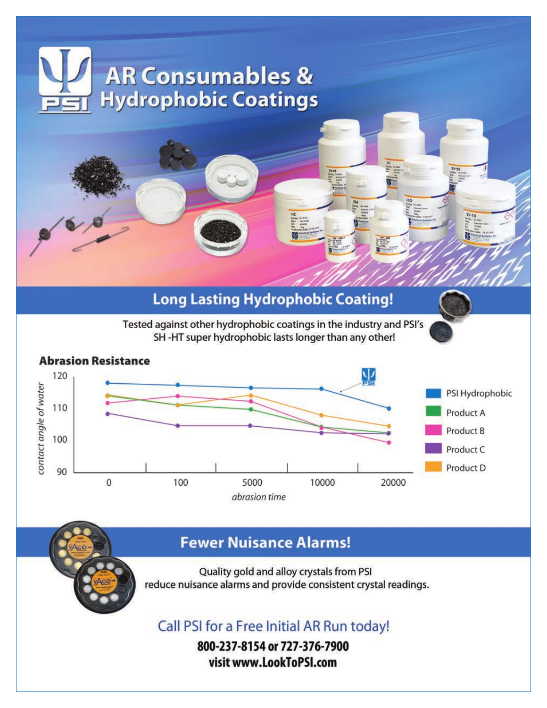# **AR Consumables & Hydrophobic Coatings Long Lasting Hydrophobic Coating!**

Tested against other hydrophobic coatings in the industry and PSI's SH-HT super hydrophobic lasts longer than any other!



# **Fewer Nuisance Alarms!**

Quality gold and alloy crystals from PSI reduce nuisance alarms and provide consistent crystal readings.

Call PSI for a Free Initial AR Run today!

800-237-8154 or 727-376-7900 visit www.LookToPSI.com